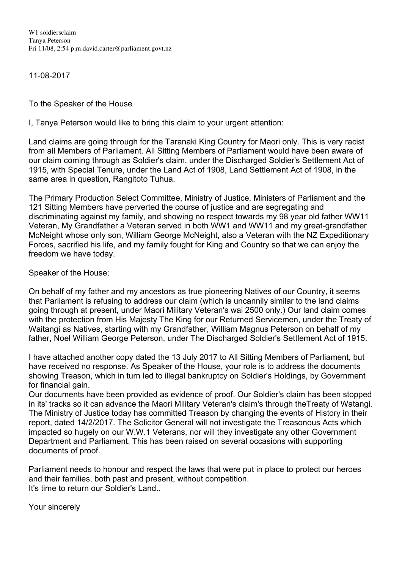W1 soldiersclaim Tanya Peterson Fri 11/08, 2:54 p.m.david.carter@parliament.govt.nz

11-08-2017

To the Speaker of the House

I, Tanya Peterson would like to bring this claim to your urgent attention:

Land claims are going through for the Taranaki King Country for Maori only. This is very racist from all Members of Parliament. All Sitting Members of Parliament would have been aware of our claim coming through as Soldier's claim, under the Discharged Soldier's Settlement Act of 1915, with Special Tenure, under the Land Act of 1908, Land Settlement Act of 1908, in the same area in question, Rangitoto Tuhua.

The Primary Production Select Committee, Ministry of Justice, Ministers of Parliament and the 121 Sitting Members have perverted the course of justice and are segregating and discriminating against my family, and showing no respect towards my 98 year old father WW11 Veteran, My Grandfather a Veteran served in both WW1 and WW11 and my great-grandfather McNeight whose only son, William George McNeight, also a Veteran with the NZ Expeditionary Forces, sacrified his life, and my family fought for King and Country so that we can enjoy the freedom we have today.

Speaker of the House;

On behalf of my father and my ancestors as true pioneering Natives of our Country, it seems that Parliament is refusing to address our claim (which is uncannily similar to the land claims going through at present, under Maori Military Veteran's wai 2500 only.) Our land claim comes with the protection from His Majesty The King for our Returned Servicemen, under the Treaty of Waitangi as Natives, starting with my Grandfather, William Magnus Peterson on behalf of my father, Noel William George Peterson, under The Discharged Soldier's Settlement Act of 1915.

I have attached another copy dated the 13 July 2017 to All Sitting Members of Parliament, but have received no response. As Speaker of the House, your role is to address the documents showing Treason, which in turn led to illegal bankruptcy on Soldier's Holdings, by Government for financial gain.

Our documents have been provided as evidence of proof. Our Soldier's claim has been stopped in its' tracks so it can advance the Maori Military Veteran's claim's through theTreaty of Watangi. The Ministry of Justice today has committed Treason by changing the events of History in their report, dated 14/2/2017. The Solicitor General will not investigate the Treasonous Acts which impacted so hugely on our W.W.1 Veterans, nor will they investigate any other Government Department and Parliament. This has been raised on several occasions with supporting documents of proof.

Parliament needs to honour and respect the laws that were put in place to protect our heroes and their families, both past and present, without competition. It's time to return our Soldier's Land..

Your sincerely